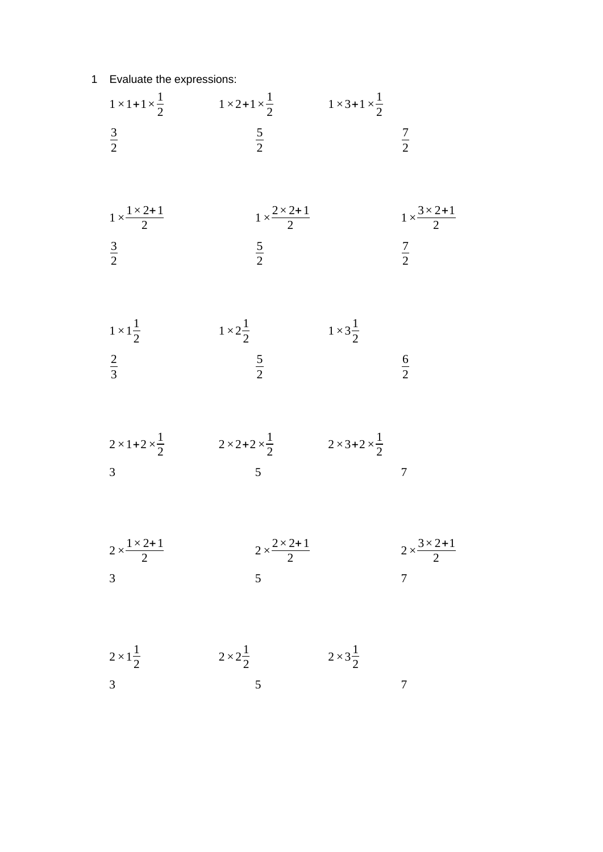## Evaluate the expressions:

|                                                       | $1 \times 1 + 1 \times \frac{1}{2}$ $1 \times 2 + 1 \times \frac{1}{2}$ $1 \times 3 + 1 \times \frac{1}{2}$      |                         |                                                       |
|-------------------------------------------------------|------------------------------------------------------------------------------------------------------------------|-------------------------|-------------------------------------------------------|
| $rac{3}{2}$                                           | $rac{5}{2}$                                                                                                      |                         | $rac{7}{2}$                                           |
| $1 \times \frac{1 \times 2 + 1}{2}$<br>$rac{3}{2}$    | $1 \times \frac{2 \times 2 + 1}{2}$<br>$rac{5}{2}$                                                               |                         | $1 \times \frac{3 \times 2 + 1}{2}$<br>$rac{7}{2}$    |
|                                                       |                                                                                                                  |                         |                                                       |
| $1 \times 1\frac{1}{2}$<br>$rac{2}{3}$                | $1 \times 2\frac{1}{2}$<br>$\frac{5}{2}$                                                                         | $1 \times 3\frac{1}{2}$ | $rac{6}{2}$                                           |
| 3                                                     | $2 \times 1 + 2 \times \frac{1}{2}$ $2 \times 2 + 2 \times \frac{1}{2}$ $2 \times 3 + 2 \times \frac{1}{2}$<br>5 |                         | 7                                                     |
| $2 \times \frac{1 \times 2 + 1}{2}$<br>$\overline{3}$ | $2 \times \frac{2 \times 2 + 1}{2}$<br>5                                                                         |                         | $2 \times \frac{3 \times 2 + 1}{2}$<br>$\overline{7}$ |
| $2 \times 1 \frac{1}{2}$<br>$\overline{3}$            | $2 \times 2\frac{1}{2}$<br>5                                                                                     | $2 \times 3\frac{1}{2}$ |                                                       |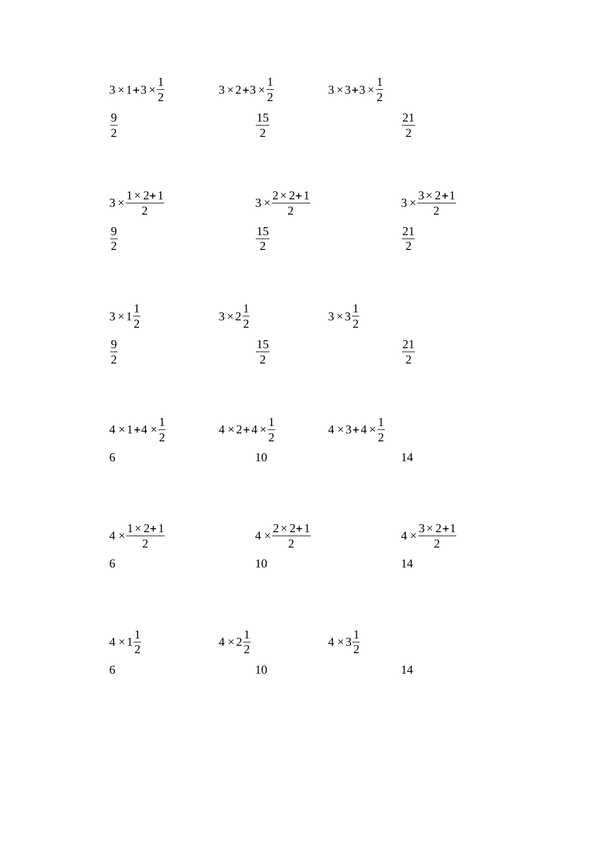| $3 \times 1 + 3 \times \frac{1}{2}$ | $3 \times 2 + 3 \times \frac{1}{2}$ | $3 \times 3 + 3 \times \frac{1}{2}$ |
|-------------------------------------|-------------------------------------|-------------------------------------|
|                                     |                                     |                                     |

$$
3 \times \frac{1 \times 2 + 1}{2}
$$
  $3 \times \frac{2 \times 2 + 1}{2}$   $3 \times \frac{3 \times 2 + 1}{2}$   
 $\frac{9}{2}$   $\frac{15}{2}$   $\frac{21}{2}$ 

$$
3 \times 1\frac{1}{2}
$$
  $3 \times 2\frac{1}{2}$   $3 \times 3\frac{1}{2}$   
 $\frac{9}{2}$   $\frac{15}{2}$   $\frac{21}{2}$ 

$$
4 \times 1 + 4 \times \frac{1}{2}
$$
  $4 \times 2 + 4 \times \frac{1}{2}$   $4 \times 3 + 4 \times \frac{1}{2}$   
6  
10  
14

$$
4 \times \frac{1 \times 2 + 1}{2}
$$
\n
$$
4 \times \frac{2 \times 2 + 1}{2}
$$
\n
$$
4 \times \frac{3 \times 2 + 1}{2}
$$
\n
$$
10
$$
\n
$$
14
$$

 $4 \times 1^{\frac{1}{2}}$  $\frac{1}{2}$   $4 \times 2\frac{1}{2}$  $\frac{1}{2}$   $4 \times 3\frac{1}{2}$  6 10 14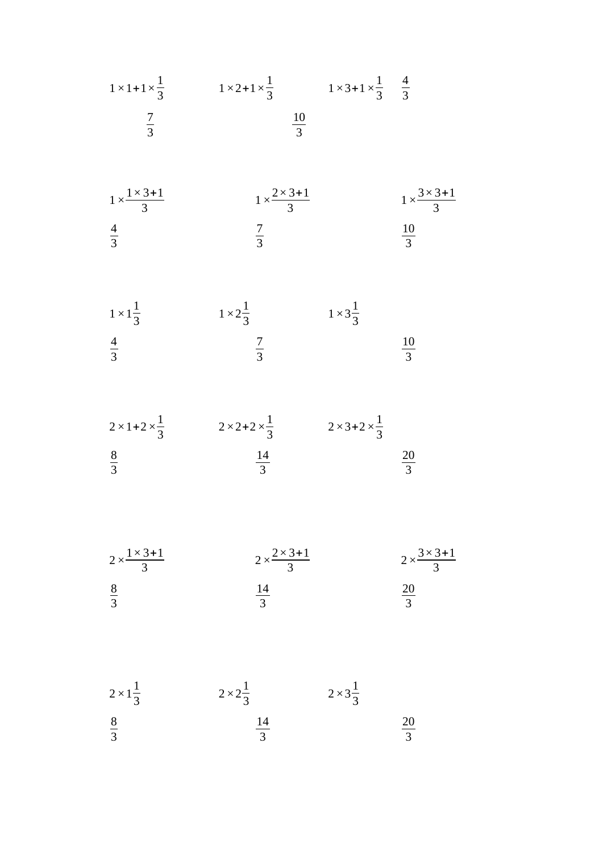$$
1 \times 1 + 1 \times \frac{1}{3}
$$
  $1 \times 2 + 1 \times \frac{1}{3}$   $1 \times 3 + 1 \times \frac{1}{3}$   $\frac{4}{3}$   $\frac{7}{3}$   $\frac{10}{3}$ 

$$
1 \times \frac{1 \times 3 + 1}{3}
$$
\n
$$
1 \times \frac{2 \times 3 + 1}{3}
$$
\n
$$
\frac{4}{3}
$$
\n
$$
\frac{7}{3}
$$
\n
$$
\frac{10}{3}
$$

$$
1 \times 1\frac{1}{3}
$$
  $1 \times 2\frac{1}{3}$   $1 \times 3\frac{1}{3}$   $1 \times 3\frac{1}{3}$   $\frac{10}{3}$   $\frac{10}{3}$ 

$$
2 \times 1 + 2 \times \frac{1}{3}
$$
  
\n $2 \times 2 + 2 \times \frac{1}{3}$   
\n $2 \times 3 + 2 \times \frac{1}{3}$   
\n $\frac{8}{3}$   
\n $\frac{14}{3}$   
\n $\frac{20}{3}$ 

$$
2 \times \frac{1 \times 3 + 1}{3}
$$
\n
$$
2 \times \frac{2 \times 3 + 1}{3}
$$
\n
$$
\frac{8}{3}
$$
\n
$$
\frac{14}{3}
$$
\n
$$
\frac{20}{3}
$$

$$
2 \times 1\frac{1}{3}
$$
  $2 \times 2\frac{1}{3}$   $2 \times 3\frac{1}{3}$   $2 \times 3\frac{1}{3}$   $\frac{8}{3}$   $\frac{14}{3}$   $\frac{20}{3}$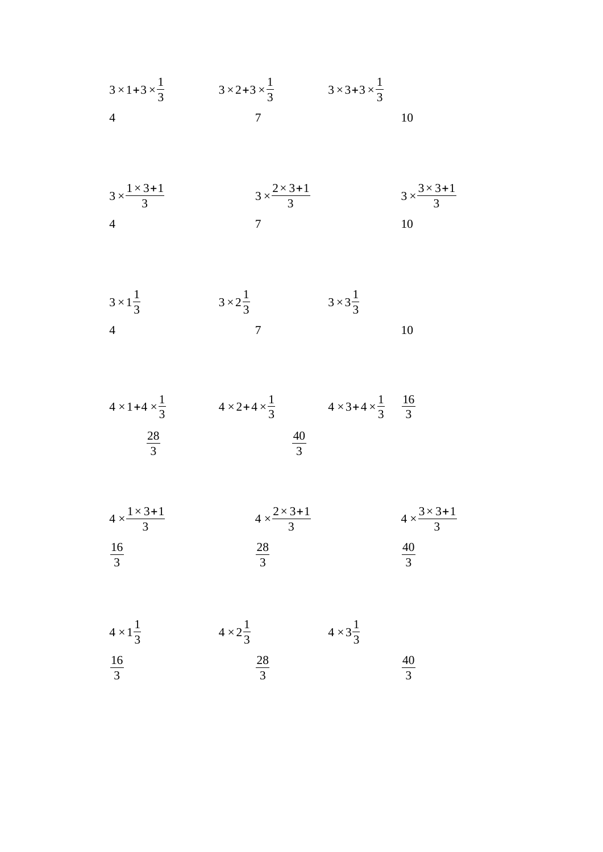$$
3 \times 1 + 3 \times \frac{1}{3}
$$
  $3 \times 2 + 3 \times \frac{1}{3}$   $3 \times 3 + 3 \times \frac{1}{3}$   
4 7 10

$$
3 \times \frac{1 \times 3 + 1}{3}
$$
  $3 \times \frac{2 \times 3 + 1}{3}$   $3 \times \frac{3 \times 3 + 1}{3}$   
4 7 10

$$
3 \times 1\frac{1}{3} \qquad 3 \times 2\frac{1}{3} \qquad 3 \times 3\frac{1}{3}
$$

$$
4 \times 1 + 4 \times \frac{1}{3}
$$
  
 $4 \times 2 + 4 \times \frac{1}{3}$   
 $4 \times 3 + 4 \times \frac{1}{3}$   
 $\frac{16}{3}$   
 $\frac{40}{3}$ 

$$
4 \times \frac{1 \times 3 + 1}{3}
$$
  
\n $4 \times \frac{2 \times 3 + 1}{3}$   
\n $4 \times \frac{3 \times 3 + 1}{3}$   
\n $4 \times \frac{3 \times 3 + 1}{3}$   
\n $4 \times \frac{3 \times 3 + 1}{3}$ 

 $4 \times 1^{\frac{1}{2}}$  $\frac{1}{3}$   $4 \times 2\frac{1}{3}$  $\frac{1}{3}$   $4 \times 3\frac{1}{3}$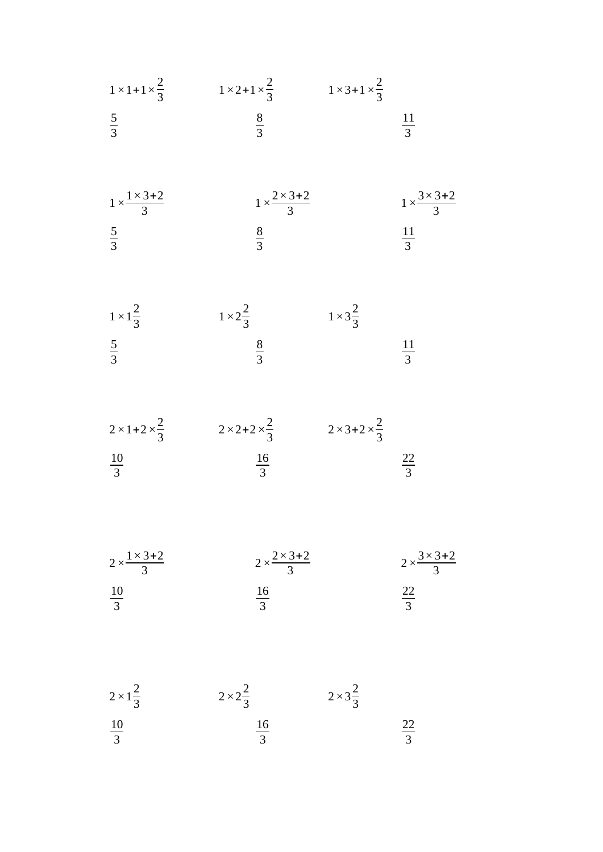| $1 \times 1 + 1 \times \frac{2}{3}$        | $1 \times 2 + 1 \times \frac{2}{3}$ $1 \times 3 + 1 \times \frac{2}{3}$ |                                     |                                     |
|--------------------------------------------|-------------------------------------------------------------------------|-------------------------------------|-------------------------------------|
| $rac{5}{3}$                                | $rac{8}{3}$                                                             |                                     | $\frac{11}{3}$                      |
| $1 \times \frac{1 \times 3 + 2}{3}$        | $1 \times \frac{2 \times 3 + 2}{3}$                                     |                                     | $1 \times \frac{3 \times 3 + 2}{3}$ |
| $rac{5}{3}$                                | $rac{8}{3}$                                                             |                                     | $\frac{11}{3}$                      |
| $1 \times 1 \frac{2}{3}$<br>$rac{5}{3}$    | $1 \times 2\frac{2}{3}$<br>$\frac{8}{3}$                                | $1 \times 3\frac{2}{3}$             | $\frac{11}{3}$                      |
|                                            |                                                                         |                                     |                                     |
| $2 \times 1 + 2 \times \frac{2}{3}$        | $2 \times 2 + 2 \times \frac{2}{3}$                                     | $2 \times 3 + 2 \times \frac{2}{3}$ |                                     |
| $\frac{10}{3}$                             | $\frac{16}{3}$                                                          |                                     | $\frac{22}{3}$                      |
| $2 \times \frac{1 \times 3 + 2}{3}$        | $2 \times \frac{2 \times 3 + 2}{3}$                                     |                                     | $2 \times \frac{3 \times 3 + 2}{3}$ |
| $\frac{10}{3}$                             | $\frac{16}{3}$                                                          |                                     | $\frac{22}{3}$                      |
| $2 \times 1 \frac{2}{3}$<br>$\frac{10}{3}$ | $2 \times 2\frac{2}{3}$<br>$\frac{16}{3}$                               | $2 \times 3\frac{2}{3}$             | $\frac{22}{3}$                      |
|                                            |                                                                         |                                     |                                     |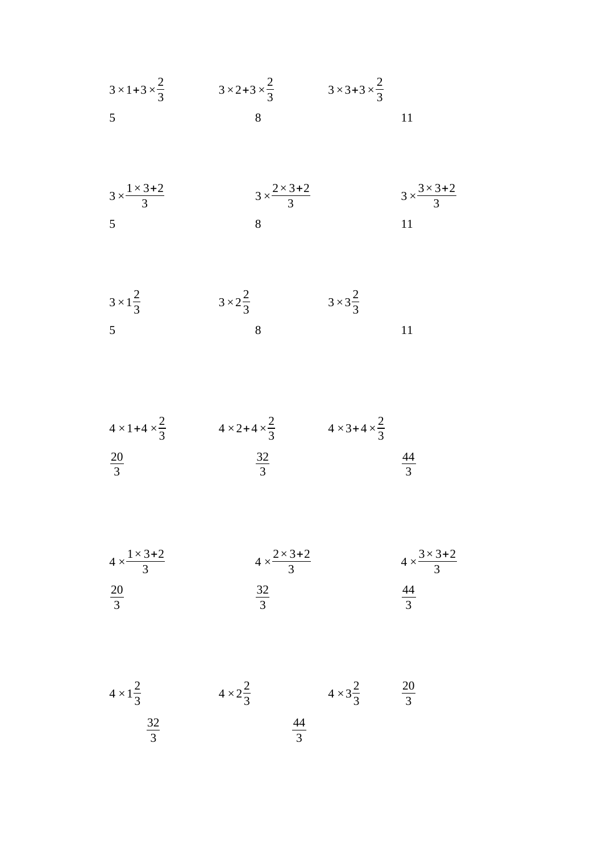$$
3 \times 1 + 3 \times \frac{2}{3}
$$
  $3 \times 2 + 3 \times \frac{2}{3}$   $3 \times 3 + 3 \times \frac{2}{3}$   
5 8 11

$$
3 \times \frac{1 \times 3 + 2}{3}
$$
  $3 \times \frac{2 \times 3 + 2}{3}$   $3 \times \frac{3 \times 3 + 2}{3}$   
5 8 11

$$
3 \times 1\frac{2}{3}
$$
  $3 \times 2\frac{2}{3}$   $3 \times 3\frac{2}{3}$   
5 8 11

$$
4 \times 1 + 4 \times \frac{2}{3}
$$
  
\n $4 \times 2 + 4 \times \frac{2}{3}$   
\n $4 \times 3 + 4 \times \frac{2}{3}$   
\n $4 \times 3 + 4 \times \frac{2}{3}$   
\n $\frac{20}{3}$   
\n $\frac{44}{3}$ 

$$
4 \times \frac{1 \times 3 + 2}{3}
$$
\n
$$
4 \times \frac{2 \times 3 + 2}{3}
$$
\n
$$
\frac{20}{3}
$$
\n
$$
\frac{32}{3}
$$
\n
$$
\frac{44}{3}
$$

 $4 \times 1^{\frac{2}{5}}$  $\frac{2}{3}$   $4 \times 2\frac{2}{3}$  $\frac{2}{3}$   $4 \times 3\frac{2}{3}$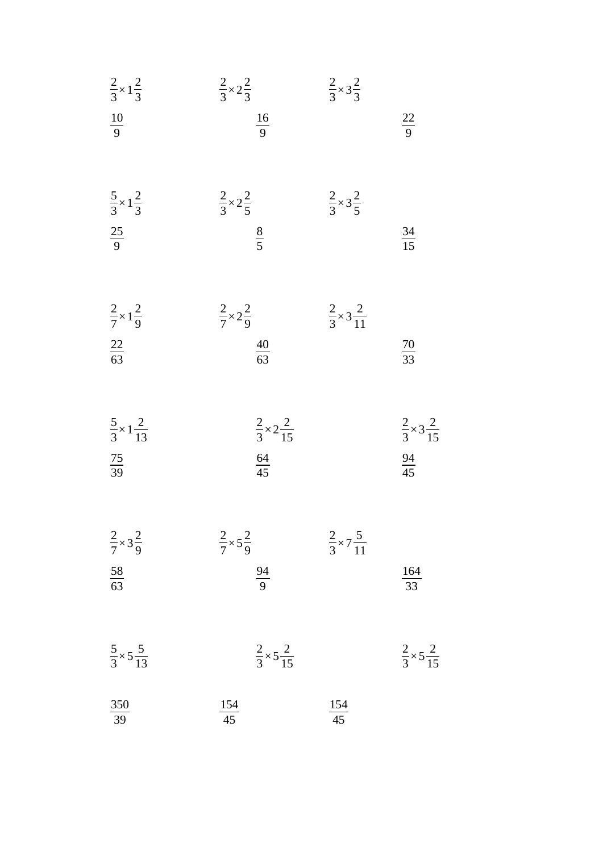| $rac{2}{3}\times 1\frac{2}{3}$                       | $\frac{2}{3} \times 2\frac{2}{3}$                    | $\frac{2}{3} \times 3\frac{2}{3}$ |                                                      |
|------------------------------------------------------|------------------------------------------------------|-----------------------------------|------------------------------------------------------|
| $\frac{10}{9}$                                       | $\frac{16}{9}$                                       |                                   | $\frac{22}{9}$                                       |
| $rac{5}{3} \times 1\frac{2}{3}$<br>$\frac{25}{9}$    | $\frac{2}{3} \times 2\frac{2}{5}$<br>$\frac{8}{5}$   | $\frac{2}{3} \times 3\frac{2}{5}$ | $\frac{34}{15}$                                      |
| $\frac{2}{7} \times 1\frac{2}{9}$<br>$\frac{22}{63}$ | $\frac{2}{7} \times 2\frac{2}{9}$<br>$\frac{40}{63}$ | $rac{2}{3} \times 3\frac{2}{11}$  | $\frac{70}{33}$                                      |
| $rac{5}{3} \times 1 \frac{2}{13}$<br>$\frac{75}{39}$ | $rac{2}{3} \times 2 \frac{2}{15}$<br>$\frac{64}{45}$ |                                   | $rac{2}{3} \times 3 \frac{2}{15}$<br>$\frac{94}{45}$ |
| $\frac{2}{7} \times 3\frac{2}{9}$<br>$\frac{58}{63}$ | $\frac{2}{7} \times 5\frac{2}{9}$<br>$\frac{94}{9}$  | $rac{2}{3} \times 7\frac{5}{11}$  | $\frac{164}{33}$                                     |
| $\frac{5}{3} \times 5 \frac{5}{13}$                  | $\frac{2}{3}\times 5\frac{2}{15}$                    |                                   | $\frac{2}{3}\times 5\frac{2}{15}$                    |
| $\frac{350}{39}$                                     | $\frac{154}{45}$                                     | $\frac{154}{45}$                  |                                                      |